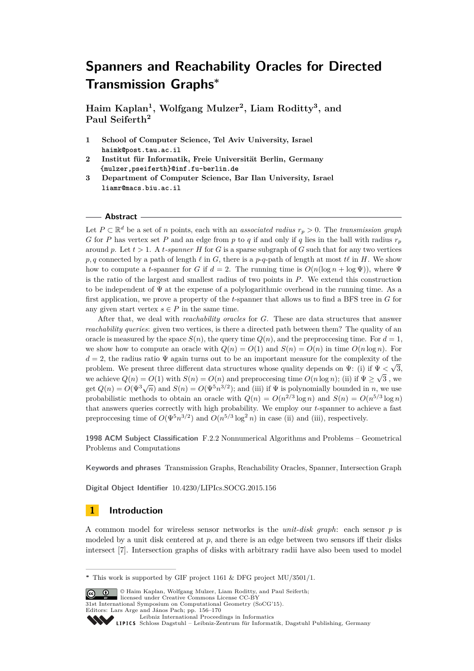**Haim Kaplan<sup>1</sup> , Wolfgang Mulzer<sup>2</sup> , Liam Roditty<sup>3</sup> , and Paul Seiferth<sup>2</sup>**

- **1 School of Computer Science, Tel Aviv University, Israel haimk@post.tau.ac.il**
- **2 Institut für Informatik, Freie Universität Berlin, Germany {mulzer,pseiferth}@inf.fu-berlin.de**
- **3 Department of Computer Science, Bar Ilan University, Israel liamr@macs.biu.ac.il**

#### **Abstract**

Let  $P \subset \mathbb{R}^d$  be a set of *n* points, each with an *associated radius*  $r_p > 0$ . The *transmission graph G* for *P* has vertex set *P* and an edge from *p* to *q* if and only if *q* lies in the ball with radius  $r_p$ around *p*. Let  $t > 1$ . A *t-spanner H* for *G* is a sparse subgraph of *G* such that for any two vertices *p, q* connected by a path of length  $\ell$  in *G*, there is a *p*-*q*-path of length at most  $t\ell$  in *H*. We show how to compute a *t*-spanner for *G* if  $d = 2$ . The running time is  $O(n(\log n + \log \Psi))$ , where  $\Psi$ is the ratio of the largest and smallest radius of two points in *P*. We extend this construction to be independent of Ψ at the expense of a polylogarithmic overhead in the running time. As a first application, we prove a property of the *t*-spanner that allows us to find a BFS tree in *G* for any given start vertex  $s \in P$  in the same time.

After that, we deal with *reachability oracles* for *G*. These are data structures that answer *reachability queries*: given two vertices, is there a directed path between them? The quality of an oracle is measured by the space  $S(n)$ , the query time  $Q(n)$ , and the preprocessing time. For  $d = 1$ , we show how to compute an oracle with  $Q(n) = O(1)$  and  $S(n) = O(n)$  in time  $O(n \log n)$ . For  $d = 2$ , the radius ratio Ψ again turns out to be an important measure for the complexity of the problem. We present three different data structures whose quality depends on  $\Psi$ : (i) if  $\Psi < \sqrt{3}$ , we achieve  $Q(n) = O(1)$  with  $S(n) = O(n)$  and preproccesing time  $O(n \log n)$ ; (ii) if  $\Psi \geq \sqrt{3}$ , we  $Q(n) = O(\Psi^3 \sqrt{n})$  and  $S(n) = O(\Psi^5 n^{3/2})$ ; and (iii) if  $\Psi$  is polynomially bounded in *n*, we use probabilistic methods to obtain an oracle with  $Q(n) = O(n^{2/3} \log n)$  and  $S(n) = O(n^{5/3} \log n)$ that answers queries correctly with high probability. We employ our *t*-spanner to achieve a fast preproccesing time of  $O(\Psi^{5} n^{3/2})$  and  $O(n^{5/3} \log^2 n)$  in case (ii) and (iii), respectively.

**1998 ACM Subject Classification** F.2.2 Nonnumerical Algorithms and Problems – Geometrical Problems and Computations

**Keywords and phrases** Transmission Graphs, Reachability Oracles, Spanner, Intersection Graph

**Digital Object Identifier** [10.4230/LIPIcs.SOCG.2015.156](http://dx.doi.org/10.4230/LIPIcs.SOCG.2015.156)

## **1 Introduction**

A common model for wireless sensor networks is the *unit-disk graph*: each sensor *p* is modeled by a unit disk centered at *p*, and there is an edge between two sensors iff their disks intersect [\[7\]](#page-14-0). Intersection graphs of disks with arbitrary radii have also been used to model

licensed under Creative Commons License CC-BY 31st International Symposium on Computational Geometry (SoCG'15).

Editors: Lars Arge and János Pach; pp. 156[–170](#page-14-1)

**<sup>∗</sup>** This work is supported by GIF project 1161 & DFG project MU/3501/1.

<sup>©</sup> Haim Kaplan, Wolfgang Mulzer, Liam Roditty, and Paul Seiferth;

[Leibniz International Proceedings in Informatics](http://www.dagstuhl.de/lipics/)

Leibniz international Froceedings in informatik, Dagstuhl Publishing, Germany<br>LIPICS [Schloss Dagstuhl – Leibniz-Zentrum für Informatik, Dagstuhl Publishing, Germany](http://www.dagstuhl.de)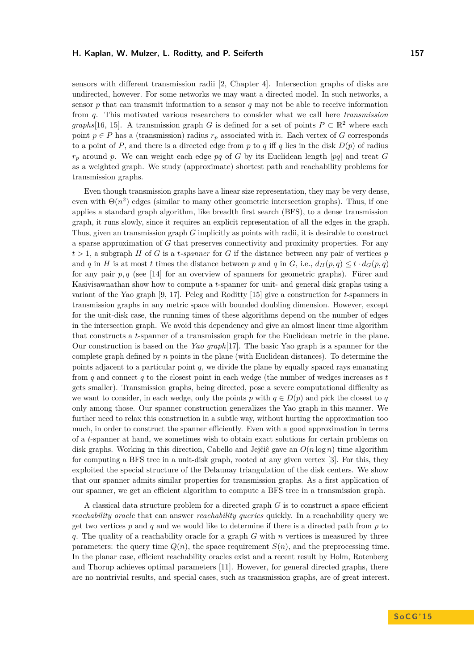sensors with different transmission radii [\[2,](#page-14-2) Chapter 4]. Intersection graphs of disks are undirected, however. For some networks we may want a directed model. In such networks, a sensor *p* that can transmit information to a sensor *q* may not be able to receive information from *q*. This motivated various researchers to consider what we call here *transmission graphs*[\[16,](#page-14-3) [15\]](#page-14-4). A transmission graph *G* is defined for a set of points  $P \subset \mathbb{R}^2$  where each point  $p \in P$  has a (transmission) radius  $r_p$  associated with it. Each vertex of *G* corresponds to a point of *P*, and there is a directed edge from *p* to *q* iff *q* lies in the disk  $D(p)$  of radius  $r_p$  around p. We can weight each edge pq of G by its Euclidean length |pq| and treat G as a weighted graph. We study (approximate) shortest path and reachability problems for transmission graphs.

Even though transmission graphs have a linear size representation, they may be very dense, even with  $\Theta(n^2)$  edges (similar to many other geometric intersection graphs). Thus, if one applies a standard graph algorithm, like breadth first search (BFS), to a dense transmission graph, it runs slowly, since it requires an explicit representation of all the edges in the graph. Thus, given an transmission graph *G* implicitly as points with radii, it is desirable to construct a sparse approximation of *G* that preserves connectivity and proximity properties. For any  $t > 1$ , a subgraph *H* of *G* is a *t-spanner* for *G* if the distance between any pair of vertices *p* and *q* in *H* is at most *t* times the distance between *p* and *q* in *G*, i.e.,  $d_H(p,q) \le t \cdot d_G(p,q)$ for any pair  $p, q$  (see [\[14\]](#page-14-5) for an overview of spanners for geometric graphs). Fürer and Kasivisawnathan show how to compute a *t*-spanner for unit- and general disk graphs using a variant of the Yao graph [\[9,](#page-14-6) [17\]](#page-14-7). Peleg and Roditty [\[15\]](#page-14-4) give a construction for *t*-spanners in transmission graphs in any metric space with bounded doubling dimension. However, except for the unit-disk case, the running times of these algorithms depend on the number of edges in the intersection graph. We avoid this dependency and give an almost linear time algorithm that constructs a *t*-spanner of a transmission graph for the Euclidean metric in the plane. Our construction is based on the *Yao graph*[\[17\]](#page-14-7). The basic Yao graph is a spanner for the complete graph defined by *n* points in the plane (with Euclidean distances). To determine the points adjacent to a particular point *q*, we divide the plane by equally spaced rays emanating from *q* and connect *q* to the closest point in each wedge (the number of wedges increases as *t* gets smaller). Transmission graphs, being directed, pose a severe computational difficulty as we want to consider, in each wedge, only the points *p* with  $q \in D(p)$  and pick the closest to *q* only among those. Our spanner construction generalizes the Yao graph in this manner. We further need to relax this construction in a subtle way, without hurting the approximation too much, in order to construct the spanner efficiently. Even with a good approximation in terms of a *t*-spanner at hand, we sometimes wish to obtain exact solutions for certain problems on disk graphs. Working in this direction, Cabello and Jejĉiĉ gave an  $O(n \log n)$  time algorithm for computing a BFS tree in a unit-disk graph, rooted at any given vertex [\[3\]](#page-14-8). For this, they exploited the special structure of the Delaunay triangulation of the disk centers. We show that our spanner admits similar properties for transmission graphs. As a first application of our spanner, we get an efficient algorithm to compute a BFS tree in a transmission graph.

A classical data structure problem for a directed graph *G* is to construct a space efficient *reachability oracle* that can answer *reachability queries* quickly. In a reachability query we get two vertices *p* and *q* and we would like to determine if there is a directed path from *p* to *q*. The quality of a reachability oracle for a graph *G* with *n* vertices is measured by three parameters: the query time  $Q(n)$ , the space requirement  $S(n)$ , and the preprocessing time. In the planar case, efficient reachability oracles exist and a recent result by Holm, Rotenberg and Thorup achieves optimal parameters [\[11\]](#page-14-9). However, for general directed graphs, there are no nontrivial results, and special cases, such as transmission graphs, are of great interest.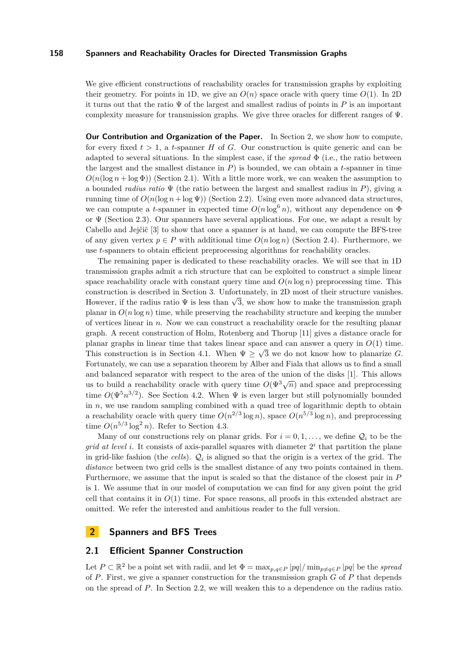We give efficient constructions of reachability oracles for transmission graphs by exploiting their geometry. For points in 1D, we give an  $O(n)$  space oracle with query time  $O(1)$ . In 2D it turns out that the ratio Ψ of the largest and smallest radius of points in *P* is an important complexity measure for transmission graphs. We give three oracles for different ranges of  $\Psi$ .

**Our Contribution and Organization of the Paper.** In Section [2,](#page-2-0) we show how to compute, for every fixed  $t > 1$ , a *t*-spanner *H* of *G*. Our construction is quite generic and can be adapted to several situations. In the simplest case, if the *spread* Φ (i.e., the ratio between the largest and the smallest distance in *P*) is bounded, we can obtain a *t*-spanner in time  $O(n(\log n + \log \Phi))$  (Section [2.1\)](#page-2-1). With a little more work, we can weaken the assumption to a bounded *radius ratio* Ψ (the ratio between the largest and smallest radius in *P*), giving a running time of  $O(n(\log n + \log \Psi))$  (Section [2.2\)](#page-6-0). Using even more advanced data structures, we can compute a *t*-spanner in expected time  $O(n \log^6 n)$ , without any dependence on  $\Phi$ or  $\Psi$  (Section [2.3\)](#page-6-1). Our spanners have several applications. For one, we adapt a result by Cabello and Jejĉiĉ  $[3]$  to show that once a spanner is at hand, we can compute the BFS-tree of any given vertex  $p \in P$  with additional time  $O(n \log n)$  (Section [2.4\)](#page-8-0). Furthermore, we use *t*-spanners to obtain efficient preprocessing algorithms for reachability oracles.

The remaining paper is dedicated to these reachability oracles. We will see that in 1D transmission graphs admit a rich structure that can be exploited to construct a simple linear space reachability oracle with constant query time and  $O(n \log n)$  preprocessing time. This construction is described in Section [3.](#page-9-0) Unfortunately, in 2D most of their structure vanishes. ECONSUME TO IS ASSEMBED IN SECTION 3. UNIOTURATELY, IN 2D MOST OF THEIT STUCTURE VALUSTS.<br>However, if the radius ratio  $\Psi$  is less than  $\sqrt{3}$ , we show how to make the transmission graph planar in  $O(n \log n)$  time, while preserving the reachability structure and keeping the number of vertices linear in *n*. Now we can construct a reachability oracle for the resulting planar graph. A recent construction of Holm, Rotenberg and Thorup [\[11\]](#page-14-9) gives a distance oracle for planar graphs in linear time that takes linear space and can answer a query in  $O(1)$  time. This construction is in Section [4.1.](#page-10-0) When  $\Psi \geq \sqrt{3}$  we do not know how to planarize *G*. Fortunately, we can use a separation theorem by Alber and Fiala that allows us to find a small and balanced separator with respect to the area of the union of the disks [\[1\]](#page-14-10). This allows us to build a reachability oracle with query time  $O(\Psi^3 \sqrt{n})$  and space and preprocessing time  $O(\Psi^5 n^{3/2})$ . See Section [4.2.](#page-11-0) When  $\Psi$  is even larger but still polynomially bounded in *n*, we use random sampling combined with a quad tree of logarithmic depth to obtain a reachability oracle with query time  $O(n^{2/3} \log n)$ , space  $O(n^{5/3} \log n)$ , and preprocessing time  $O(n^{5/3} \log^2 n)$ . Refer to Section [4.3.](#page-12-0)

Many of our constructions rely on planar grids. For  $i = 0, 1, \ldots$ , we define  $\mathcal{Q}_i$  to be the  $grid$  at level *i*. It consists of axis-parallel squares with diameter  $2<sup>i</sup>$  that partition the plane in grid-like fashion (the *cells*).  $\mathcal{Q}_i$  is aligned so that the origin is a vertex of the grid. The *distance* between two grid cells is the smallest distance of any two points contained in them. Furthermore, we assume that the input is scaled so that the distance of the closest pair in *P* is 1. We assume that in our model of computation we can find for any given point the grid cell that contains it in  $O(1)$  time. For space reasons, all proofs in this extended abstract are omitted. We refer the interested and ambitious reader to the full version.

## <span id="page-2-0"></span>**2 Spanners and BFS Trees**

## <span id="page-2-1"></span>**2.1 Efficient Spanner Construction**

Let  $P \subset \mathbb{R}^2$  be a point set with radii, and let  $\Phi = \max_{p,q \in P} |pq| / \min_{p \neq q \in P} |pq|$  be the *spread* of *P*. First, we give a spanner construction for the transmission graph *G* of *P* that depends on the spread of *P*. In Section [2.2,](#page-6-0) we will weaken this to a dependence on the radius ratio.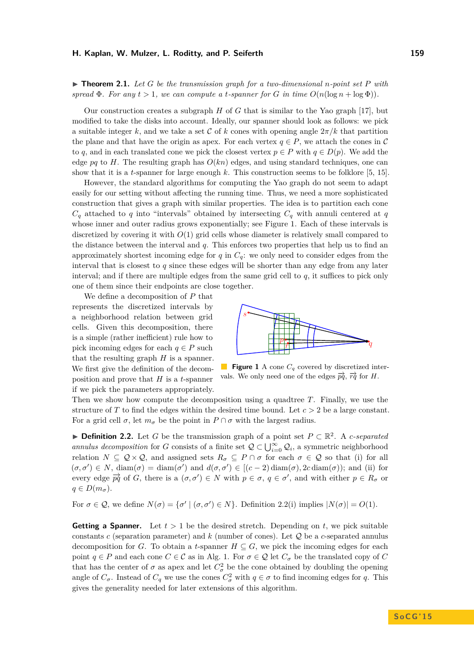<span id="page-3-2"></span> $\triangleright$  **Theorem 2.1.** Let G be the transmission graph for a two-dimensional *n*-point set P with *spread*  $\Phi$ *. For any*  $t > 1$ *, we can compute a t-spanner for G in time*  $O(n(\log n + \log \Phi))$ *.* 

Our construction creates a subgraph *H* of *G* that is similar to the Yao graph [\[17\]](#page-14-7), but modified to take the disks into account. Ideally, our spanner should look as follows: we pick a suitable integer k, and we take a set C of k cones with opening angle  $2\pi/k$  that partition the plane and that have the origin as apex. For each vertex  $q \in P$ , we attach the cones in C to *q*, and in each translated cone we pick the closest vertex  $p \in P$  with  $q \in D(p)$ . We add the edge  $pq$  to *H*. The resulting graph has  $O(kn)$  edges, and using standard techniques, one can show that it is a *t*-spanner for large enough *k*. This construction seems to be folklore [\[5,](#page-14-11) [15\]](#page-14-4).

However, the standard algorithms for computing the Yao graph do not seem to adapt easily for our setting without affecting the running time. Thus, we need a more sophisticated construction that gives a graph with similar properties. The idea is to partition each cone  $C_q$  attached to *q* into "intervals" obtained by intersecting  $C_q$  with annuli centered at *q* whose inner and outer radius grows exponentially; see Figure [1.](#page-3-0) Each of these intervals is discretized by covering it with *O*(1) grid cells whose diameter is relatively small compared to the distance between the interval and *q*. This enforces two properties that help us to find an approximately shortest incoming edge for  $q$  in  $C_q$ : we only need to consider edges from the interval that is closest to *q* since these edges will be shorter than any edge from any later interval; and if there are multiple edges from the same grid cell to *q*, it suffices to pick only one of them since their endpoints are close together.

We define a decomposition of *P* that represents the discretized intervals by a neighborhood relation between grid cells. Given this decomposition, there is a simple (rather inefficient) rule how to pick incoming edges for each  $q \in P$  such that the resulting graph *H* is a spanner. We first give the definition of the decomposition and prove that *H* is a *t*-spanner if we pick the parameters appropriately.

<span id="page-3-0"></span>

**Figure 1** A cone *C<sup>q</sup>* covered by discretized intervals. We only need one of the edges  $\overrightarrow{pq}$ ,  $\overrightarrow{rq}$  for *H*.

Then we show how compute the decomposition using a quadtree *T*. Finally, we use the structure of *T* to find the edges within the desired time bound. Let *c >* 2 be a large constant. For a grid cell  $\sigma$ , let  $m_{\sigma}$  be the point in  $P \cap \sigma$  with the largest radius.

<span id="page-3-1"></span>**► Definition 2.2.** Let *G* be the transmission graph of a point set  $P \subset \mathbb{R}^2$ . A *c*-separated *annulus decomposition* for *G* consists of a finite set  $\mathcal{Q} \subset \bigcup_{i=0}^{\infty} \mathcal{Q}_i$ , a symmetric neighborhood relation  $N \subseteq Q \times Q$ , and assigned sets  $R_{\sigma} \subseteq P \cap \sigma$  for each  $\sigma \in Q$  so that (i) for all  $(\sigma, \sigma') \in N$ , diam $(\sigma) = \text{diam}(\sigma')$  and  $d(\sigma, \sigma') \in [(c-2)\text{diam}(\sigma), 2c \text{diam}(\sigma))$ ; and (ii) for every edge  $p\overrightarrow{q}$  of *G*, there is a  $(\sigma, \sigma') \in N$  with  $p \in \sigma$ ,  $q \in \sigma'$ , and with either  $p \in R_{\sigma}$  or  $q \in D(m_{\sigma}).$ 

For  $\sigma \in \mathcal{Q}$ , we define  $N(\sigma) = {\sigma' \mid (\sigma, \sigma') \in N}$ . Definition [2.2\(](#page-3-1)i) implies  $|N(\sigma)| = O(1)$ .

**Getting a Spanner.** Let  $t > 1$  be the desired stretch. Depending on  $t$ , we pick suitable constants *c* (separation parameter) and *k* (number of cones). Let Q be a *c*-separated annulus decomposition for *G*. To obtain a *t*-spanner  $H \subseteq G$ , we pick the incoming edges for each point  $q \in P$  and each cone  $C \in \mathcal{C}$  as in Alg. [1.](#page-4-0) For  $\sigma \in \mathcal{Q}$  let  $C_{\sigma}$  be the translated copy of *C* that has the center of  $\sigma$  as apex and let  $C^2_{\sigma}$  be the cone obtained by doubling the opening angle of  $C_{\sigma}$ . Instead of  $C_q$  we use the cones  $C_{\sigma}^2$  with  $q \in \sigma$  to find incoming edges for  $q$ . This gives the generality needed for later extensions of this algorithm.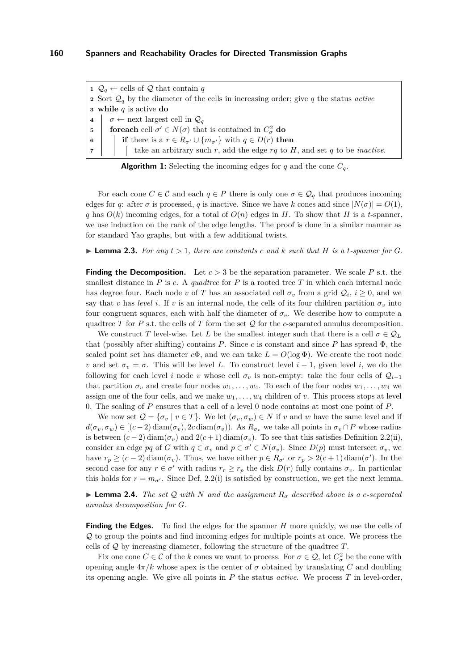|                                 | $\mathbf{1} \ \mathcal{Q}_q \leftarrow$ cells of $\mathcal Q$ that contain q                                                                                                            |  |
|---------------------------------|-----------------------------------------------------------------------------------------------------------------------------------------------------------------------------------------|--|
|                                 | 2 Sort $Q_q$ by the diameter of the cells in increasing order; give q the status active                                                                                                 |  |
| <b>3</b> while $q$ is active do |                                                                                                                                                                                         |  |
|                                 |                                                                                                                                                                                         |  |
|                                 | 4 $\sigma \leftarrow$ next largest cell in $\mathcal{Q}_q$<br>5 <b>foreach</b> cell $\sigma' \in N(\sigma)$ that is contained in $C^2_{\sigma}$ <b>do</b>                               |  |
|                                 |                                                                                                                                                                                         |  |
|                                 | 6 <b>if</b> there is a $r \in R_{\sigma'} \cup \{m_{\sigma'}\}$ with $q \in D(r)$ then<br>7 <b>if</b> take an arbitrary such r, add the edge rq to H, and set q to be <i>inactive</i> . |  |

<span id="page-4-0"></span>**Algorithm 1:** Selecting the incoming edges for  $q$  and the cone  $C_q$ .

For each cone  $C \in \mathcal{C}$  and each  $q \in P$  there is only one  $\sigma \in \mathcal{Q}_q$  that produces incoming edges for *q*: after *σ* is processed, *q* is inactive. Since we have *k* cones and since  $|N(\sigma)| = O(1)$ , *q* has  $O(k)$  incoming edges, for a total of  $O(n)$  edges in *H*. To show that *H* is a *t*-spanner, we use induction on the rank of the edge lengths. The proof is done in a similar manner as for standard Yao graphs, but with a few additional twists.

<span id="page-4-1"></span> $\blacktriangleright$  **Lemma 2.3.** For any  $t > 1$ , there are constants c and k such that H is a t-spanner for G.

**Finding the Decomposition.** Let *c >* 3 be the separation parameter. We scale *P* s.t. the smallest distance in  $P$  is  $c$ . A *quadtree* for  $P$  is a rooted tree  $T$  in which each internal node has degree four. Each node *v* of *T* has an associated cell  $\sigma_v$  from a grid  $\mathcal{Q}_i$ ,  $i \geq 0$ , and we say that *v* has *level i*. If *v* is an internal node, the cells of its four children partition  $\sigma_v$  into four congruent squares, each with half the diameter of  $\sigma_v$ . We describe how to compute a quadtree *T* for *P* s.t. the cells of *T* form the set  $Q$  for the *c*-separated annulus decomposition.

We construct *T* level-wise. Let *L* be the smallest integer such that there is a cell  $\sigma \in \mathcal{Q}_L$ that (possibly after shifting) contains *P*. Since *c* is constant and since *P* has spread  $\Phi$ , the scaled point set has diameter  $c\Phi$ , and we can take  $L = O(\log \Phi)$ . We create the root node *v* and set  $\sigma_v = \sigma$ . This will be level *L*. To construct level *i* − 1, given level *i*, we do the following for each level *i* node *v* whose cell  $\sigma_v$  is non-empty: take the four cells of  $\mathcal{Q}_{i-1}$ that partition  $\sigma_v$  and create four nodes  $w_1, \ldots, w_4$ . To each of the four nodes  $w_1, \ldots, w_4$  we assign one of the four cells, and we make  $w_1, \ldots, w_4$  children of *v*. This process stops at level 0. The scaling of *P* ensures that a cell of a level 0 node contains at most one point of *P*.

We now set  $\mathcal{Q} = \{\sigma_v \mid v \in T\}$ . We let  $(\sigma_v, \sigma_w) \in N$  if *v* and *w* have the same level and if  $d(\sigma_v, \sigma_w) \in [(c-2) \text{diam}(\sigma_v), 2c \text{diam}(\sigma_v))$ . As  $R_{\sigma_v}$  we take all points in  $\sigma_v \cap P$  whose radius is between  $(c-2)$  diam $(\sigma_v)$  and  $2(c+1)$  diam $(\sigma_v)$ . To see that this satisfies Definition [2.2\(](#page-3-1)ii), consider an edge *pq* of *G* with  $q \in \sigma_v$  and  $p \in \sigma' \in N(\sigma_v)$ . Since  $D(p)$  must intersect  $\sigma_v$ , we have  $r_p \ge (c-2) \operatorname{diam}(\sigma_v)$ . Thus, we have either  $p \in R_{\sigma'}$  or  $r_p > 2(c+1) \operatorname{diam}(\sigma')$ . In the second case for any  $r \in \sigma'$  with radius  $r_r \geq r_p$  the disk  $D(r)$  fully contains  $\sigma_v$ . In particular this holds for  $r = m_{\sigma'}$ . Since Def. [2.2\(](#page-3-1)i) is satisfied by construction, we get the next lemma.

**I Lemma 2.4.** *The set* Q *with N and the assignment*  $R_{\sigma}$  *described above is a c-separated annulus decomposition for G.*

**Finding the Edges.** To find the edges for the spanner *H* more quickly, we use the cells of Q to group the points and find incoming edges for multiple points at once. We process the cells of Q by increasing diameter, following the structure of the quadtree *T*.

Fix one cone  $C \in \mathcal{C}$  of the *k* cones we want to process. For  $\sigma \in \mathcal{Q}$ , let  $C^2_{\sigma}$  be the cone with opening angle  $4\pi/k$  whose apex is the center of  $\sigma$  obtained by translating C and doubling its opening angle. We give all points in *P* the status *active*. We process *T* in level-order,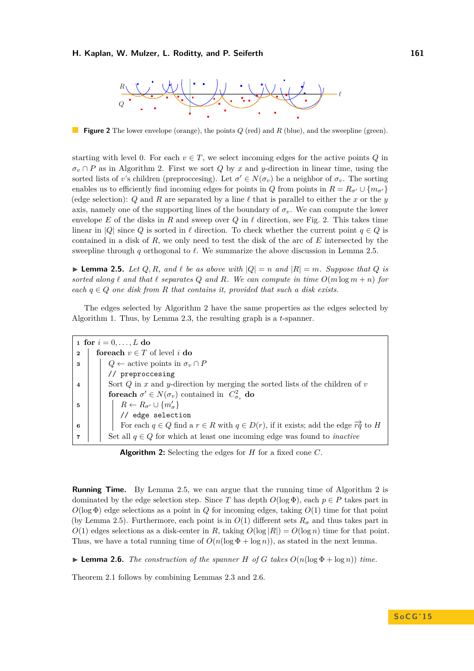<span id="page-5-1"></span>

**Figure 2** The lower envelope (orange), the points *Q* (red) and *R* (blue), and the sweepline (green).

starting with level 0. For each  $v \in T$ , we select incoming edges for the active points  $Q$  in  $\sigma_v \cap P$  as in Algorithm [2.](#page-5-0) First we sort *Q* by *x* and *y*-direction in linear time, using the sorted lists of *v*'s children (preproccesing). Let  $\sigma' \in N(\sigma_v)$  be a neighbor of  $\sigma_v$ . The sorting enables us to efficiently find incoming edges for points in *Q* from points in  $R = R_{\sigma'} \cup \{m_{\sigma'}\}$ (edge selection): *Q* and *R* are separated by a line  $\ell$  that is parallel to either the *x* or the *y* axis, namely one of the supporting lines of the boundary of  $\sigma_v$ . We can compute the lower envelope *E* of the disks in *R* and sweep over *Q* in  $\ell$  direction, see Fig. [2.](#page-5-1) This takes time linear in |*Q*| since *Q* is sorted in  $\ell$  direction. To check whether the current point  $q \in Q$  is contained in a disk of *R*, we only need to test the disk of the arc of *E* intersected by the sweepline through  $q$  orthogonal to  $\ell$ . We summarize the above discussion in Lemma [2.5.](#page-5-2)

<span id="page-5-2"></span> $\blacktriangleright$  **Lemma 2.5.** Let  $Q, R$ *, and*  $\ell$  be as above with  $|Q| = n$  and  $|R| = m$ *. Suppose that*  $Q$  *is* sorted along  $\ell$  and that  $\ell$  separates  $Q$  and  $R$ *. We can compute in time*  $O(m \log m + n)$  for *each*  $q \in Q$  *one disk from R that contains it, provided that such a disk exists.* 

The edges selected by Algorithm [2](#page-5-0) have the same properties as the edges selected by Algorithm [1.](#page-4-0) Thus, by Lemma [2.3,](#page-4-1) the resulting graph is a *t*-spanner.

| 1 for $i = 0, \ldots, L$ do |                                                                                                               |  |
|-----------------------------|---------------------------------------------------------------------------------------------------------------|--|
| $\mathbf{2}$                | foreach $v \in T$ of level <i>i</i> do                                                                        |  |
| $\mathbf{a}$                | $Q \leftarrow$ active points in $\sigma_v \cap P$                                                             |  |
|                             | // preproccesing                                                                                              |  |
| $\boldsymbol{\Lambda}$      | Sort $Q$ in x and y-direction by merging the sorted lists of the children of v                                |  |
|                             | <b>for<br/>each</b> $\sigma' \in N(\sigma_v)$ contained in $C^2_{\sigma_v}$ <b>do</b>                         |  |
| 5                           | $R \leftarrow R_{\sigma'} \cup \{m'_{\sigma}\}\$                                                              |  |
|                             | // edge selection                                                                                             |  |
| 6                           | For each $q \in Q$ find a $r \in R$ with $q \in D(r)$ , if it exists; add the edge $\overrightarrow{rq}$ to H |  |
|                             | Set all $q \in Q$ for which at least one incoming edge was found to <i>inactive</i>                           |  |

<span id="page-5-0"></span>**Algorithm 2:** Selecting the edges for *H* for a fixed cone *C*.

**Running Time.** By Lemma [2.5,](#page-5-2) we can argue that the running time of Algorithm [2](#page-5-0) is dominated by the edge selection step. Since *T* has depth  $O(\log \Phi)$ , each  $p \in P$  takes part in  $O(\log \Phi)$  edge selections as a point in *Q* for incoming edges, taking  $O(1)$  time for that point (by Lemma [2.5\)](#page-5-2). Furthermore, each point is in  $O(1)$  different sets  $R_{\sigma}$  and thus takes part in  $O(1)$  edges selections as a disk-center in *R*, taking  $O(\log |R|) = O(\log n)$  time for that point. Thus, we have a total running time of  $O(n(\log \Phi + \log n))$ , as stated in the next lemma.

<span id="page-5-3"></span>**In Lemma 2.6.** *The construction of the spanner H of G takes*  $O(n(\log \Phi + \log n))$  *time.* 

Theorem [2.1](#page-3-2) follows by combining Lemmas [2.3](#page-4-1) and [2.6.](#page-5-3)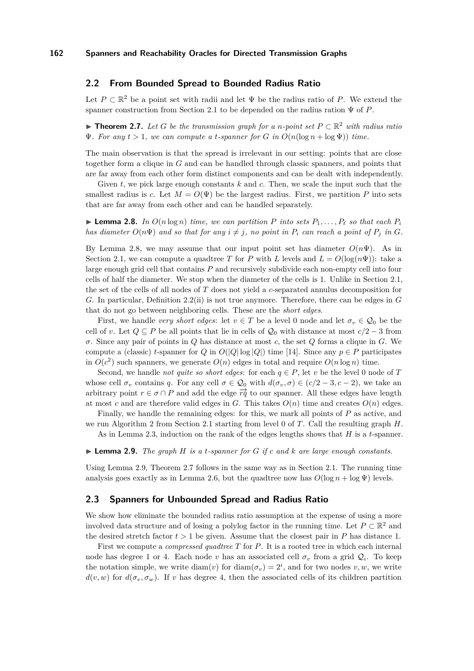## <span id="page-6-0"></span>**2.2 From Bounded Spread to Bounded Radius Ratio**

Let  $P \subset \mathbb{R}^2$  be a point set with radii and let  $\Psi$  be the radius ratio of P. We extend the spanner construction from Section [2.1](#page-2-1) to be depended on the radius ration Ψ of *P*.

<span id="page-6-4"></span>**► Theorem 2.7.** Let *G* be the transmission graph for a *n*-point set  $P \subset \mathbb{R}^2$  with radius ratio  $\Psi$ *. For any*  $t > 1$ *, we can compute a t-spanner for G in*  $O(n(\log n + \log \Psi))$  *time.* 

The main observation is that the spread is irrelevant in our setting: points that are close together form a clique in *G* and can be handled through classic spanners, and points that are far away from each other form distinct components and can be dealt with independently.

Given *t*, we pick large enough constants *k* and *c*. Then, we scale the input such that the smallest radius is *c*. Let  $M = O(\Psi)$  be the largest radius. First, we partition P into sets that are far away from each other and can be handled separately.

<span id="page-6-2"></span> $\blacktriangleright$  **Lemma 2.8.** In  $O(n \log n)$  time, we can partition P into sets  $P_1, \ldots, P_\ell$  so that each  $P_i$ *has diameter*  $O(n\Psi)$  *and so that for any*  $i \neq j$ , *no point in*  $P_i$  *can reach a point of*  $P_j$  *in*  $G$ *.* 

By Lemma [2.8,](#page-6-2) we may assume that our input point set has diameter  $O(n\Psi)$ . As in Section [2.1,](#page-2-1) we can compute a quadtree *T* for *P* with *L* levels and  $L = O(\log(n\Psi))$ : take a large enough grid cell that contains *P* and recursively subdivide each non-empty cell into four cells of half the diameter. We stop when the diameter of the cells is 1. Unlike in Section [2.1,](#page-2-1) the set of the cells of all nodes of *T* does not yield a *c*-separated annulus decomposition for *G*. In particular, Definition [2.2\(](#page-3-1)ii) is not true anymore. Therefore, there can be edges in *G* that do not go between neighboring cells. These are the *short edges*.

First, we handle *very short edges*: let  $v \in T$  be a level 0 node and let  $\sigma_v \in \mathcal{Q}_0$  be the cell of *v*. Let  $Q \subseteq P$  be all points that lie in cells of  $Q_0$  with distance at most  $c/2 - 3$  from *σ*. Since any pair of points in *Q* has distance at most *c*, the set *Q* forms a clique in *G*. We compute a (classic) *t*-spanner for *Q* in  $O(|Q|\log|Q|)$  time [\[14\]](#page-14-5). Since any  $p \in P$  participates in  $O(c^2)$  such spanners, we generate  $O(n)$  edges in total and require  $O(n \log n)$  time.

Second, we handle *not quite so short edges*: for each  $q \in P$ , let *v* be the level 0 node of *T* whose cell  $\sigma_v$  contains *q*. For any cell  $\sigma \in \mathcal{Q}_0$  with  $d(\sigma_v, \sigma) \in (c/2 - 3, c - 2)$ , we take an arbitrary point  $r \in \sigma \cap P$  and add the edge  $\overrightarrow{rq}$  to our spanner. All these edges have length at most *c* and are therefore valid edges in *G*. This takes  $O(n)$  time and creates  $O(n)$  edges.

Finally, we handle the remaining edges: for this, we mark all points of *P* as active, and we run Algorithm [2](#page-5-0) from Section [2.1](#page-2-1) starting from level 0 of *T*. Call the resulting graph *H*.

As in Lemma [2.3,](#page-4-1) induction on the rank of the edges lengths shows that *H* is a *t*-spanner.

<span id="page-6-3"></span> $\blacktriangleright$  **Lemma 2.9.** *The graph H is a t-spanner for G if c and k are large enough constants.* 

Using Lemma [2.9,](#page-6-3) Theorem [2.7](#page-6-4) follows in the same way as in Section [2.1.](#page-2-1) The running time analysis goes exactly as in Lemma [2.6,](#page-5-3) but the quadtree now has  $O(\log n + \log \Psi)$  levels.

## <span id="page-6-1"></span>**2.3 Spanners for Unbounded Spread and Radius Ratio**

We show how eliminate the bounded radius ratio assumption at the expense of using a more involved data structure and of losing a polylog factor in the running time. Let  $P \subset \mathbb{R}^2$  and the desired stretch factor  $t > 1$  be given. Assume that the closest pair in  $P$  has distance 1.

First we compute a *compressed quadtree T* for *P*. It is a rooted tree in which each internal node has degree 1 or 4. Each node *v* has an associated cell  $\sigma_v$  from a grid  $\mathcal{Q}_i$ . To keep the notation simple, we write  $\text{diam}(v)$  for  $\text{diam}(\sigma_v) = 2^i$ , and for two nodes  $v, w$ , we write  $d(v, w)$  for  $d(\sigma_v, \sigma_w)$ . If *v* has degree 4, then the associated cells of its children partition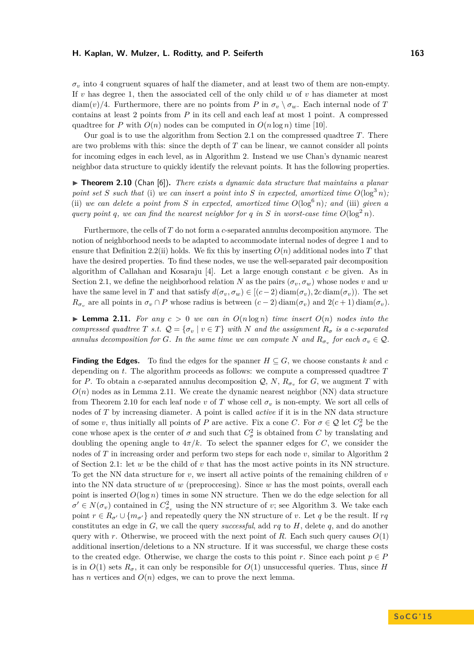$\sigma_v$  into 4 congruent squares of half the diameter, and at least two of them are non-empty. If *v* has degree 1, then the associated cell of the only child *w* of *v* has diameter at most diam(*v*)/4. Furthermore, there are no points from *P* in  $\sigma_v \setminus \sigma_w$ . Each internal node of *T* contains at least 2 points from *P* in its cell and each leaf at most 1 point. A compressed quadtree for *P* with  $O(n)$  nodes can be computed in  $O(n \log n)$  time [\[10\]](#page-14-12).

Our goal is to use the algorithm from Section [2.1](#page-2-1) on the compressed quadtree *T*. There are two problems with this: since the depth of *T* can be linear, we cannot consider all points for incoming edges in each level, as in Algorithm [2.](#page-5-0) Instead we use Chan's dynamic nearest neighbor data structure to quickly identify the relevant points. It has the following properties.

<span id="page-7-1"></span> $\triangleright$  **Theorem 2.10** (Chan [\[6\]](#page-14-13)). *There exists a dynamic data structure that maintains a planar point set S such that* (i) *we can insert a point into S in expected, amortized time*  $O(\log^3 n)$ ; (ii) we can delete a point from *S* in expected, amortized time  $O(\log^6 n)$ ; and (iii) given a *query point q, we can find the nearest neighbor for q in S in worst-case time*  $O(\log^2 n)$ *.* 

Furthermore, the cells of *T* do not form a *c*-separated annulus decomposition anymore. The notion of neighborhood needs to be adapted to accommodate internal nodes of degree 1 and to ensure that Definition [2.2\(](#page-3-1)ii) holds. We fix this by inserting  $O(n)$  additional nodes into T that have the desired properties. To find these nodes, we use the well-separated pair decomposition algorithm of Callahan and Kosaraju [\[4\]](#page-14-14). Let a large enough constant *c* be given. As in Section [2.1,](#page-2-1) we define the neighborhood relation *N* as the pairs  $(\sigma_v, \sigma_w)$  whose nodes *v* and *w* have the same level in *T* and that satisfy  $d(\sigma_v, \sigma_w) \in [(c-2) \operatorname{diam}(\sigma_v), 2c \operatorname{diam}(\sigma_v))$ . The set  $R_{\sigma_v}$  are all points in  $\sigma_v \cap P$  whose radius is between  $(c-2)$  diam $(\sigma_v)$  and  $2(c+1)$  diam $(\sigma_v)$ .

<span id="page-7-0"></span>**Example 2.11.** For any  $c > 0$  we can in  $O(n \log n)$  time insert  $O(n)$  nodes into the *compressed quadtree T s.t.*  $Q = \{\sigma_v \mid v \in T\}$  *with N and the assignment*  $R_{\sigma}$  *is a c-separated annulus decomposition for G. In the same time we can compute N and*  $R_{\sigma_v}$  *for each*  $\sigma_v \in \mathcal{Q}$ *.* 

**Finding the Edges.** To find the edges for the spanner  $H \subseteq G$ , we choose constants *k* and *c* depending on *t*. The algorithm proceeds as follows: we compute a compressed quadtree *T* for *P*. To obtain a *c*-separated annulus decomposition  $Q$ , *N*,  $R_{\sigma_v}$  for *G*, we augment *T* with  $O(n)$  nodes as in Lemma [2.11.](#page-7-0) We create the dynamic nearest neighbor (NN) data structure from Theorem [2.10](#page-7-1) for each leaf node *v* of *T* whose cell  $\sigma_v$  is non-empty. We sort all cells of nodes of *T* by increasing diameter. A point is called *active* if it is in the NN data structure of some *v*, thus initially all points of *P* are active. Fix a cone *C*. For  $\sigma \in \mathcal{Q}$  let  $C^2_{\sigma}$  be the cone whose apex is the center of  $\sigma$  and such that  $C^2_{\sigma}$  is obtained from *C* by translating and doubling the opening angle to  $4\pi/k$ . To select the spanner edges for *C*, we consider the nodes of *T* in increasing order and perform two steps for each node *v*, similar to Algorithm [2](#page-5-0) of Section [2.1:](#page-2-1) let *w* be the child of *v* that has the most active points in its NN structure. To get the NN data structure for *v*, we insert all active points of the remaining children of *v* into the NN data structure of *w* (preproccesing). Since *w* has the most points, overall each point is inserted  $O(\log n)$  times in some NN structure. Then we do the edge selection for all  $\sigma' \in N(\sigma_v)$  contained in  $C^2_{\sigma_v}$  using the NN structure of *v*; see Algorithm [3.](#page-8-1) We take each point  $r \in R_{\sigma} \cup \{m_{\sigma}\}\$  and repeatedly query the NN structure of *v*. Let *q* be the result. If *rq* constitutes an edge in *G*, we call the query *successful*, add *rq* to *H*, delete *q*, and do another query with *r*. Otherwise, we proceed with the next point of *R*. Each such query causes  $O(1)$ additional insertion/deletions to a NN structure. If it was successful, we charge these costs to the created edge. Otherwise, we charge the costs to this point *r*. Since each point  $p \in P$ is in  $O(1)$  sets  $R_{\sigma}$ , it can only be responsible for  $O(1)$  unsuccessful queries. Thus, since *H* has *n* vertices and  $O(n)$  edges, we can to prove the next lemma.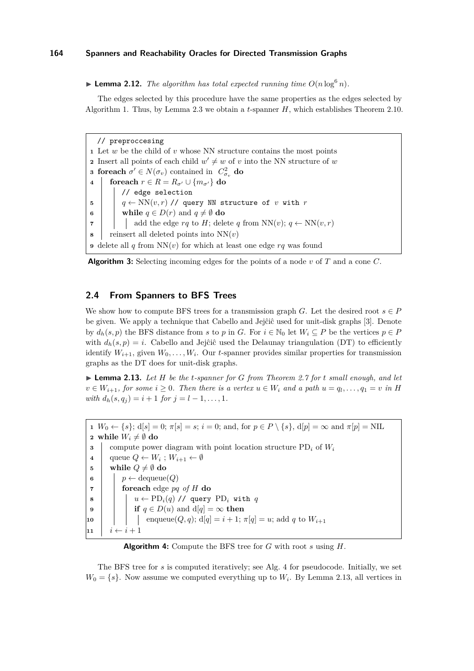**Example 2.12.** The algorithm has total expected running time  $O(n \log^6 n)$ .

The edges selected by this procedure have the same properties as the edges selected by Algorithm [1.](#page-4-0) Thus, by Lemma [2.3](#page-4-1) we obtain a *t*-spanner *H*, which establishes Theorem [2.10.](#page-7-1)

// preproccesing Let *w* be the child of *v* whose NN structure contains the most points Insert all points of each child  $w' \neq w$  of *v* into the NN structure of *w*  **foreach**  $\sigma' \in N(\sigma_v)$  contained in  $C^2_{\sigma_v}$  **do foreach**  $r \in R = R_{\sigma'} \cup \{m_{\sigma'}\}$  **do** // edge selection  $\mathbf{5}$  |  $q \leftarrow \text{NN}(v,r)$  // query NN structure of *v* with *r*  **b while**  $q \in D(r)$  and  $q \neq \emptyset$  **do**   $\begin{bmatrix} \vdots \\ \vdots \end{bmatrix}$  add the edge *rq* to *H*; delete *q* from NN(*v*);  $q \leftarrow NN(v,r)$  reinsert all deleted points into  $NN(v)$ delete all *q* from  $NN(v)$  for which at least one edge  $rq$  was found

<span id="page-8-1"></span>**Algorithm 3:** Selecting incoming edges for the points of a node *v* of *T* and a cone *C*.

## <span id="page-8-0"></span>**2.4 From Spanners to BFS Trees**

We show how to compute BFS trees for a transmission graph *G*. Let the desired root  $s \in P$ be given. We apply a technique that Cabello and Jejĉiĉ used for unit-disk graphs [\[3\]](#page-14-8). Denote by  $d_h(s, p)$  the BFS distance from *s* to *p* in *G*. For  $i \in \mathbb{N}_0$  let  $W_i \subseteq P$  be the vertices  $p \in P$ with  $d_h(s, p) = i$ . Cabello and Jejĉiĉ used the Delaunay triangulation (DT) to efficiently identify  $W_{i+1}$ , given  $W_0, \ldots, W_i$ . Our *t*-spanner provides similar properties for transmission graphs as the DT does for unit-disk graphs.

<span id="page-8-3"></span> $\blacktriangleright$  **Lemma 2.13.** Let H be the *t*-spanner for G from Theorem [2.7](#page-6-4) for *t* small enough, and let  $v \in W_{i+1}$ , for some  $i \geq 0$ . Then there is a vertex  $u \in W_i$  and a path  $u = q_l, \ldots, q_1 = v$  in H *with*  $d_h(s, q_i) = i + 1$  *for*  $j = l - 1, \ldots, 1$ *.* 

  $W_0 \leftarrow \{s\};$  d[s] = 0;  $\pi[s] = s$ ;  $i = 0$ ; and, for  $p \in P \setminus \{s\}$ , d[p] = ∞ and  $\pi[p] = \text{NIL}$  **while**  $W_i \neq \emptyset$  **do**  compute power diagram with point location structure PD*<sup>i</sup>* of *W<sup>i</sup>*  $\downarrow$  queue  $Q \leftarrow W_i$ ;  $W_{i+1} \leftarrow \emptyset$  **while**  $Q \neq \emptyset$  do  $p \leftarrow \text{dequeue}(Q)$  **foreach** edge *pq of H* **do**  $\vert$   $\vert$   $\vert$   $u \leftarrow \text{PD}_i(q)$  // query  $\text{PD}_i$  with *q*  **if**  $q \in D(u)$  and  $d[q] = \infty$  **then**  $|{\bf 10} \quad | \quad | \quad |$  enqueue $(Q, q)$ ;  $d[q] = i + 1$ ;  $\pi[q] = u$ ; add q to  $W_{i+1}$  $\vert$ 11  $i \leftarrow i + 1$ 

<span id="page-8-2"></span>**Algorithm 4:** Compute the BFS tree for *G* with root *s* using *H*.

The BFS tree for *s* is computed iteratively; see Alg. [4](#page-8-2) for pseudocode. Initially, we set  $W_0 = \{s\}$ . Now assume we computed everything up to  $W_i$ . By Lemma [2.13,](#page-8-3) all vertices in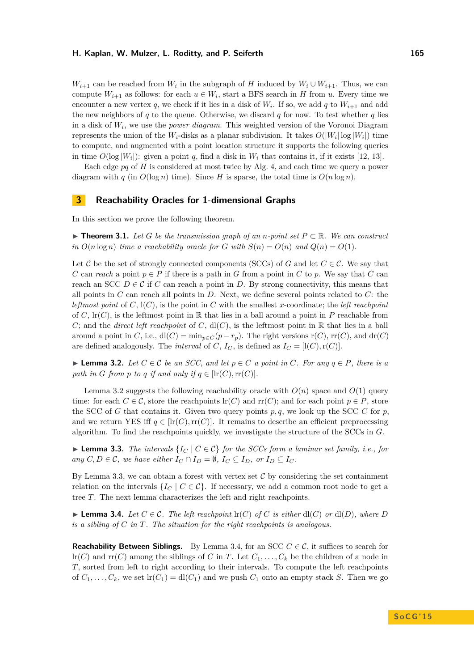*W*<sub>*i*+1</sub> can be reached from *W*<sub>*i*</sub> in the subgraph of *H* induced by  $W_i \cup W_{i+1}$ . Thus, we can compute  $W_{i+1}$  as follows: for each  $u \in W_i$ , start a BFS search in *H* from *u*. Every time we encounter a new vertex  $q$ , we check if it lies in a disk of  $W_i$ . If so, we add  $q$  to  $W_{i+1}$  and add the new neighbors of *q* to the queue. Otherwise, we discard *q* for now. To test whether *q* lies in a disk of *W<sup>i</sup>* , we use the *power diagram*. This weighted version of the Voronoi Diagram represents the union of the  $W_i$ -disks as a planar subdivision. It takes  $O(|W_i| \log |W_i|)$  time to compute, and augmented with a point location structure it supports the following queries in time  $O(\log |W_i|)$ : given a point q, find a disk in  $W_i$  that contains it, if it exists [\[12,](#page-14-15) [13\]](#page-14-16).

Each edge *pq* of *H* is considered at most twice by Alg. [4,](#page-8-2) and each time we query a power diagram with *q* (in  $O(\log n)$  time). Since *H* is sparse, the total time is  $O(n \log n)$ .

## <span id="page-9-0"></span>**3 Reachability Oracles for 1-dimensional Graphs**

In this section we prove the following theorem.

<span id="page-9-4"></span>I **Theorem 3.1.** *Let G be the transmission graph of an n-point set P* ⊂ R*. We can construct in*  $O(n \log n)$  *time a reachability oracle for G with*  $S(n) = O(n)$  *and*  $Q(n) = O(1)$ *.* 

Let C be the set of strongly connected components (SCCs) of G and let  $C \in \mathcal{C}$ . We say that *C* can *reach* a point  $p \in P$  if there is a path in *G* from a point in *C* to *p*. We say that *C* can reach an SCC  $D \in \mathcal{C}$  if C can reach a point in D. By strong connectivity, this means that all points in *C* can reach all points in *D*. Next, we define several points related to *C*: the *leftmost point* of  $C$ ,  $I(C)$ , is the point in  $C$  with the smallest *x*-coordinate; the *left reachpoint* of *C*,  $\text{lr}(C)$ , is the leftmost point in  $\mathbb R$  that lies in a ball around a point in *P* reachable from *C*; and the *direct left reachpoint* of *C*, dl(*C*), is the leftmost point in R that lies in a ball around a point in *C*, i.e., dl(*C*) =  $\min_{p \in C} (p - r_p)$ . The right versions r(*C*), rr(*C*), and dr(*C*) are defined analogously. The *interval* of *C*,  $I_C$ , is defined as  $I_C = [1(C), r(C)]$ .

<span id="page-9-1"></span>**► Lemma 3.2.** *Let*  $C \in \mathcal{C}$  *be an SCC, and let*  $p \in C$  *a point in C. For any*  $q \in P$ *, there is a path in G from p to q if and only if*  $q \in [\text{lr}(C), \text{rr}(C)].$ 

Lemma [3.2](#page-9-1) suggests the following reachability oracle with  $O(n)$  space and  $O(1)$  query time: for each  $C \in \mathcal{C}$ , store the reachpoints  $\text{lr}(C)$  and  $\text{rr}(C)$ ; and for each point  $p \in P$ , store the SCC of *G* that contains it. Given two query points  $p, q$ , we look up the SCC *C* for  $p$ . and we return YES iff  $q \in [\text{lr}(C), \text{rr}(C)]$ . It remains to describe an efficient preprocessing algorithm. To find the reachpoints quickly, we investigate the structure of the SCCs in *G*.

<span id="page-9-2"></span>**► Lemma 3.3.** *The intervals*  $\{I_C \mid C \in \mathcal{C}\}\$  *for the SCCs form a laminar set family, i.e., for any*  $C, D \in \mathcal{C}$ *, we have either*  $I_C \cap I_D = \emptyset$ *,*  $I_C \subseteq I_D$ *, or*  $I_D \subseteq I_C$ *.* 

By Lemma [3.3,](#page-9-2) we can obtain a forest with vertex set  $\mathcal C$  by considering the set containment relation on the intervals  ${I_C \mid C \in \mathcal{C}}$ . If necessary, we add a common root node to get a tree *T*. The next lemma characterizes the left and right reachpoints.

<span id="page-9-3"></span>► **Lemma 3.4.** *Let*  $C \in \mathcal{C}$ *. The left reachpoint*  $\text{lr}(C)$  *of*  $C$  *is either*  $\text{dl}(C)$  *or*  $\text{dl}(D)$ *, where*  $D$ *is a sibling of C in T. The situation for the right reachpoints is analogous.*

**Reachability Between Siblings.** By Lemma [3.4,](#page-9-3) for an SCC  $C \in \mathcal{C}$ , it suffices to search for  $\text{lr}(C)$  and  $\text{rr}(C)$  among the siblings of *C* in *T*. Let  $C_1, \ldots, C_k$  be the children of a node in *T*, sorted from left to right according to their intervals. To compute the left reachpoints of  $C_1, \ldots, C_k$ , we set  $\text{lr}(C_1) = \text{dl}(C_1)$  and we push  $C_1$  onto an empty stack *S*. Then we go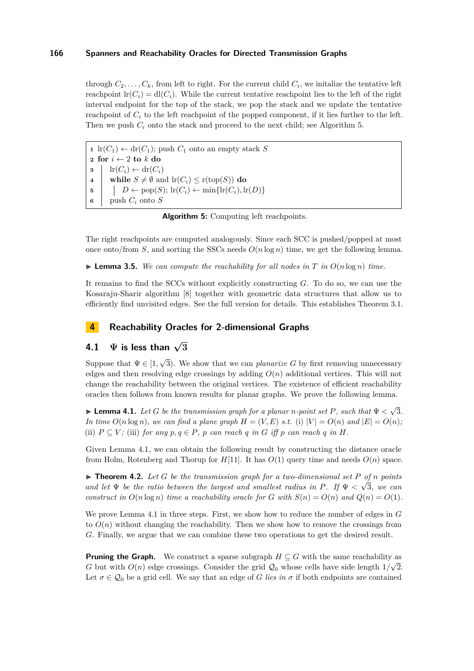through  $C_2, \ldots, C_k$ , from left to right. For the current child  $C_i$ , we initalize the tentative left reachpoint  $\text{lr}(C_i) = \text{dl}(C_i)$ . While the current tentative reachpoint lies to the left of the right interval endpoint for the top of the stack, we pop the stack and we update the tentative reachpoint of  $C_i$  to the left reachpoint of the popped component, if it lies further to the left. Then we push  $C_i$  onto the stack and proceed to the next child; see Algorithm [5.](#page-10-1)

**1**  $\text{lr}(C_1) \leftarrow \text{dr}(C_1)$ ; push  $C_1$  onto an empty stack *S* **2 for**  $i \leftarrow 2$  **to**  $k$  **do**  $\mathbf{B}$  lr( $C_i$ ) ← dr( $C_i$ ) **4 while**  $S \neq \emptyset$  and  $\text{lr}(C_i) \leq \text{r}(\text{top}(S))$  **do**  $5 \mid D \leftarrow \text{pop}(S); \text{lr}(C_i) \leftarrow \min\{\text{lr}(C_i), \text{lr}(D)\}\$  $\mathbf{6}$  | push  $C_i$  onto  $S$ 

**Algorithm 5:** Computing left reachpoints.

<span id="page-10-1"></span>The right reachpoints are computed analogously. Since each SCC is pushed/popped at most once onto/from *S*, and sorting the SSCs needs  $O(n \log n)$  time, we get the following lemma.

 $\blacktriangleright$  **Lemma 3.5.** We can compute the reachability for all nodes in T in  $O(n \log n)$  time.

It remains to find the SCCs without explicitly constructing *G*. To do so, we can use the Kosaraju-Sharir algorithm [\[8\]](#page-14-17) together with geometric data structures that allow us to efficiently find unvisited edges. See the full version for details. This establishes Theorem [3.1.](#page-9-4)

## **4 Reachability Oracles for 2-dimensional Graphs**

# <span id="page-10-0"></span>**4.1**  $\,\,\Psi\,$  is less than  $\sqrt{3}$

Suppose that  $\Psi \in [1, 1]$ √ 3). We show that we can *planarize G* by first removing unnecessary edges and then resolving edge crossings by adding  $O(n)$  additional vertices. This will not change the reachability between the original vertices. The existence of efficient reachability oracles then follows from known results for planar graphs. We prove the following lemma.

<span id="page-10-2"></span>**Example 1.1.** *Let G be the transmission graph for a planar <i>n*-point set *P*, such that  $\Psi < \sqrt{\frac{1}{n}}$ 3*. In time*  $O(n \log n)$ *, we can find a plane graph*  $H = (V, E)$  *s.t.* (i)  $|V| = O(n)$  *and*  $|E| = O(n)$ ; (ii)  $P \subseteq V$ ; (iii) *for any*  $p, q \in P$ ,  $p$  *can reach*  $q$  *in*  $G$  *iff*  $p$  *can reach*  $q$  *in*  $H$ *.* 

Given Lemma [4.1,](#page-10-2) we can obtain the following result by constructing the distance oracle from Holm, Rotenberg and Thorup for  $H[11]$  $H[11]$ . It has  $O(1)$  query time and needs  $O(n)$  space.

▶ **Theorem 4.2.** *Let G be the transmission graph for a two-dimensional set P of <i>n* points *and let*  $\Psi$  *be the ratio between the largest and smallest radius in P. If*  $\Psi < \sqrt{3}$ *, we can construct in*  $O(n \log n)$  *time a reachability oracle for G with*  $S(n) = O(n)$  *and*  $Q(n) = O(1)$ *.* 

We prove Lemma [4.1](#page-10-2) in three steps. First, we show how to reduce the number of edges in *G* to  $O(n)$  without changing the reachability. Then we show how to remove the crossings from *G*. Finally, we argue that we can combine these two operations to get the desired result.

**Pruning the Graph.** We construct a sparse subgraph  $H \subseteq G$  with the same reachability as *G* but with  $O(n)$  edge crossings. Consider the grid  $\mathcal{Q}_0$  whose cells have side length  $1/\sqrt{2}$ . Let  $\sigma \in \mathcal{Q}_0$  be a grid cell. We say that an edge of *G* lies in  $\sigma$  if both endpoints are contained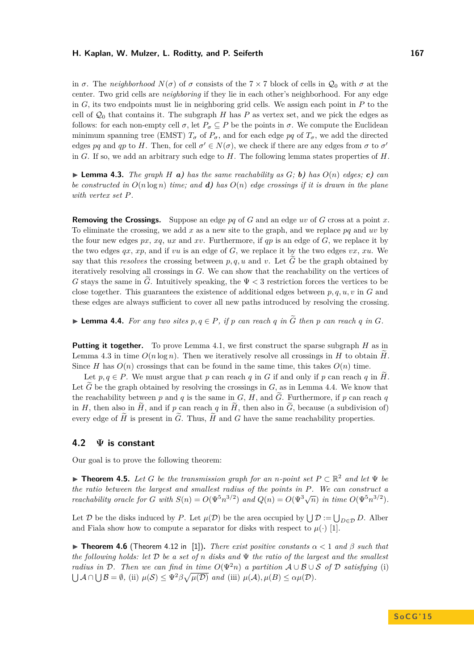in *σ*. The *neighborhood*  $N(\sigma)$  of  $\sigma$  consists of the  $7 \times 7$  block of cells in  $\mathcal{Q}_0$  with  $\sigma$  at the center. Two grid cells are *neighboring* if they lie in each other's neighborhood. For any edge in *G*, its two endpoints must lie in neighboring grid cells. We assign each point in *P* to the cell of  $\mathcal{Q}_0$  that contains it. The subgraph *H* has *P* as vertex set, and we pick the edges as follows: for each non-empty cell  $\sigma$ , let  $P_{\sigma} \subseteq P$  be the points in  $\sigma$ . We compute the Euclidean minimum spanning tree (EMST)  $T_{\sigma}$  of  $P_{\sigma}$ , and for each edge *pq* of  $T_{\sigma}$ , we add the directed edges pq and qp to *H*. Then, for cell  $\sigma' \in N(\sigma)$ , we check if there are any edges from  $\sigma$  to  $\sigma'$ in *G*. If so, we add an arbitrary such edge to *H*. The following lemma states properties of *H*.

<span id="page-11-1"></span> $\blacktriangleright$  **Lemma 4.3.** *The graph H* **a**) has the same reachability as  $G$ ; **b**) has  $O(n)$  edges; **c**) can *be constructed in*  $O(n \log n)$  *time; and d) has*  $O(n)$  *edge crossings if it is drawn in the plane with vertex set P.*

**Removing the Crossings.** Suppose an edge *pq* of *G* and an edge *uv* of *G* cross at a point *x*. To eliminate the crossing, we add *x* as a new site to the graph, and we replace *pq* and *uv* by the four new edges *px*, *xq*, *ux* and *xv*. Furthermore, if *qp* is an edge of *G*, we replace it by the two edges *qx*, *xp*, and if *vu* is an edge of *G*, we replace it by the two edges *vx*, *xu*. We say that this *resolves* the crossing between  $p, q, u$  and v. Let  $\tilde{G}$  be the graph obtained by iteratively resolving all crossings in *G*. We can show that the reachability on the vertices of *G* stays the same in *G*. Intuitively speaking, the  $\Psi < 3$  restriction forces the vertices to be close together. This guarantees the existence of additional edges between *p, q, u, v* in *G* and these edges are always sufficient to cover all new paths introduced by resolving the crossing.

<span id="page-11-2"></span>▶ **Lemma 4.4.** For any two sites  $p, q \in P$ , if  $p$  can reach  $q$  in  $\widetilde{G}$  then  $p$  can reach  $q$  in  $G$ .

**Putting it together.** To prove Lemma [4.1,](#page-10-2) we first construct the sparse subgraph *H* as in Lemma [4.3](#page-11-1) in time  $O(n \log n)$ . Then we iteratively resolve all crossings in *H* to obtain *H*. Since *H* has  $O(n)$  crossings that can be found in the same time, this takes  $O(n)$  time.

Let  $p, q \in P$ . We must argue that p can reach q in G if and only if p can reach q in H. Let  $\widetilde{G}$  be the graph obtained by resolving the crossings in *G*, as in Lemma [4.4.](#page-11-2) We know that the reachability between *p* and *q* is the same in *G*, *H*, and  $\tilde{G}$ . Furthermore, if *p* can reach *q* in *H*, then also in  $\widetilde{H}$ , and if *p* can reach *q* in  $\widetilde{H}$ , then also in  $\widetilde{G}$ , because (a subdivision of) every edge of  $\hat{H}$  is present in  $\hat{G}$ . Thus,  $\hat{H}$  and  $G$  have the same reachability properties.

## <span id="page-11-0"></span>**4.2 Ψ is constant**

Our goal is to prove the following theorem:

<span id="page-11-4"></span>**► Theorem 4.5.** Let G be the transmission graph for an *n*-point set  $P \subset \mathbb{R}^2$  and let  $\Psi$  be *the ratio between the largest and smallest radius of the points in P. We can construct a reachability oracle for G* with  $S(n) = O(\Psi^5 n^{3/2})$  *and*  $Q(n) = O(\Psi^3 \sqrt{n})$  *in time*  $O(\Psi^5 n^{3/2})$ *.* 

Let D be the disks induced by P. Let  $\mu(\mathcal{D})$  be the area occupied by  $\bigcup \mathcal{D} := \bigcup_{D \in \mathcal{D}} D$ . Alber and Fiala show how to compute a separator for disks with respect to  $\mu(\cdot)$  [\[1\]](#page-14-10).

<span id="page-11-3"></span>**Find 1.6** Theorem 4.12 in [\[1\]](#page-14-10)). *There exist positive constants*  $\alpha < 1$  *and*  $\beta$  *such that the following holds: let* D *be a set of n disks and* Ψ *the ratio of the largest and the smallest radius in* D. Then we can find in time  $O(\Psi^2 n)$  *a partition*  $A \cup B \cup S$  *of* D *satisfying* (i)  $\bigcup$   $\mathcal{A} \cap \bigcup \mathcal{B} = \emptyset$ , (ii)  $\mu(\mathcal{S}) \leq \Psi^2 \beta \sqrt{\mu(\mathcal{D})}$  and (iii)  $\mu(\mathcal{A}), \mu(B) \leq \alpha \mu(\mathcal{D})$ .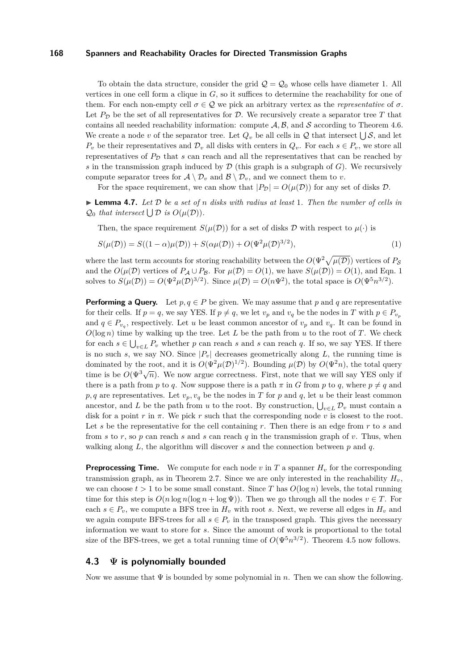To obtain the data structure, consider the grid  $\mathcal{Q} = \mathcal{Q}_0$  whose cells have diameter 1. All vertices in one cell form a clique in *G*, so it suffices to determine the reachability for one of them. For each non-empty cell  $\sigma \in \mathcal{Q}$  we pick an arbitrary vertex as the *representative* of  $\sigma$ . Let  $P<sub>D</sub>$  be the set of all representatives for  $D$ . We recursively create a separator tree T that contains all needed reachability information: compute  $A, B$ , and  $S$  according to Theorem [4.6.](#page-11-3) We create a node *v* of the separator tree. Let  $Q_v$  be all cells in  $\mathcal Q$  that intersect  $\bigcup \mathcal{S}$ , and let  $P_v$  be their representatives and  $\mathcal{D}_v$  all disks with centers in  $Q_v$ . For each  $s \in P_v$ , we store all representatives of  $P<sub>D</sub>$  that *s* can reach and all the representatives that can be reached by *s* in the transmission graph induced by  $D$  (this graph is a subgraph of *G*). We recursively compute separator trees for  $A \setminus \mathcal{D}_v$  and  $B \setminus \mathcal{D}_v$ , and we connect them to *v*.

For the space requirement, we can show that  $|P_{\mathcal{D}}| = O(\mu(\mathcal{D}))$  for any set of disks  $\mathcal{D}$ .

 $\triangleright$  **Lemma 4.7.** Let  $\mathcal{D}$  be a set of  $n$  disks with radius at least 1. Then the number of cells in  $\mathcal{Q}_0$  *that intersect*  $\bigcup \mathcal{D}$  *is*  $O(\mu(\mathcal{D}))$ *.* 

Then, the space requirement  $S(\mu(\mathcal{D}))$  for a set of disks  $\mathcal D$  with respect to  $\mu(\cdot)$  is

<span id="page-12-1"></span>
$$
S(\mu(\mathcal{D})) = S((1 - \alpha)\mu(\mathcal{D})) + S(\alpha\mu(\mathcal{D})) + O(\Psi^2 \mu(\mathcal{D})^{3/2}),
$$
\n(1)

where the last term accounts for storing reachability between the  $O(\Psi^2 \sqrt{\mu(\mathcal{D})})$  vertices of  $P_S$ and the  $O(\mu(\mathcal{D}))$  vertices of  $P_{\mathcal{A}} \cup P_{\mathcal{B}}$ . For  $\mu(\mathcal{D}) = O(1)$ , we have  $S(\mu(\mathcal{D})) = O(1)$ , and Eqn. [1](#page-12-1) solves to  $S(\mu(\mathcal{D})) = O(\Psi^2 \mu(\mathcal{D})^{3/2})$ . Since  $\mu(\mathcal{D}) = O(n\Psi^2)$ , the total space is  $O(\Psi^5 n^{3/2})$ .

**Performing a Query.** Let  $p, q \in P$  be given. We may assume that p and q are representative for their cells. If  $p = q$ , we say YES. If  $p \neq q$ , we let  $v_p$  and  $v_q$  be the nodes in *T* with  $p \in P_{v_p}$ and  $q \in P_{v_q}$ , respectively. Let *u* be least common ancestor of  $v_p$  and  $v_q$ . It can be found in *O*(log *n*) time by walking up the tree. Let *L* be the path from *u* to the root of *T*. We check for each  $s \in \bigcup_{v \in L} P_v$  whether *p* can reach *s* and *s* can reach *q*. If so, we say YES. If there is no such *s*, we say NO. Since  $|P_v|$  decreases geometrically along *L*, the running time is dominated by the root, and it is  $O(\Psi^2 \mu(\mathcal{D})^{1/2})$ . Bounding  $\mu(\mathcal{D})$  by  $O(\Psi^2 n)$ , the total query time is be  $O(\Psi^3\sqrt{n})$ . We now argue correctness. First, note that we will say YES only if there is a path from *p* to *q*. Now suppose there is a path  $\pi$  in *G* from *p* to *q*, where  $p \neq q$  and  $p, q$  are representatives. Let  $v_p, v_q$  be the nodes in *T* for *p* and *q*, let *u* be their least common ancestor, and *L* be the path from *u* to the root. By construction,  $\bigcup_{v \in L} \mathcal{D}_v$  must contain a disk for a point  $r$  in  $\pi$ . We pick  $r$  such that the corresponding node  $v$  is closest to the root. Let *s* be the representative for the cell containing *r*. Then there is an edge from *r* to *s* and from *s* to *r*, so *p* can reach *s* and *s* can reach *q* in the transmission graph of *v*. Thus, when walking along *L*, the algorithm will discover *s* and the connection between *p* and *q*.

**Preprocessing Time.** We compute for each node  $v$  in  $T$  a spanner  $H_v$  for the corresponding transmission graph, as in Theorem [2.7.](#page-6-4) Since we are only interested in the reachability  $H_v$ , we can choose  $t > 1$  to be some small constant. Since T has  $O(\log n)$  levels, the total running time for this step is  $O(n \log n (\log n + \log \Psi))$ . Then we go through all the nodes  $v \in T$ . For each  $s \in P_v$ , we compute a BFS tree in  $H_v$  with root *s*. Next, we reverse all edges in  $H_v$  and we again compute BFS-trees for all  $s \in P_v$  in the transposed graph. This gives the necessary information we want to store for *s*. Since the amount of work is proportional to the total size of the BFS-trees, we get a total running time of  $O(\Psi^5 n^{3/2})$ . Theorem [4.5](#page-11-4) now follows.

## <span id="page-12-0"></span>**4.3 Ψ is polynomially bounded**

Now we assume that Ψ is bounded by some polynomial in *n*. Then we can show the following.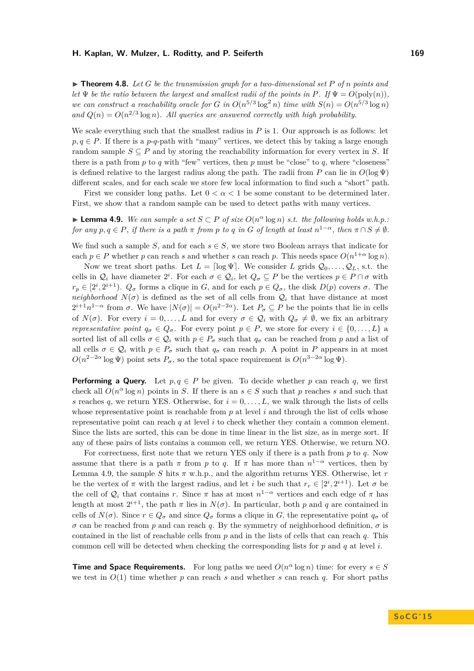$\triangleright$  **Theorem 4.8.** Let G be the transmission graph for a two-dimensional set P of *n* points and *let*  $\Psi$  *be the ratio between the largest and smallest radii of the points in*  $P$ *. If*  $\Psi = O(\text{poly}(n))$ *, we can construct a reachability oracle for G in*  $O(n^{5/3} \log^2 n)$  *time with*  $S(n) = O(n^{5/3} \log n)$ *and*  $Q(n) = O(n^{2/3} \log n)$ *. All queries are answered correctly with high probability.* 

We scale everything such that the smallest radius in *P* is 1. Our approach is as follows: let  $p, q \in P$ . If there is a *p*-*q*-path with "many" vertices, we detect this by taking a large enough random sample  $S \subseteq P$  and by storing the reachability information for every vertex in *S*. If there is a path from  $p$  to  $q$  with "few" vertices, then  $p$  must be "close" to  $q$ , where "closeness" is defined relative to the largest radius along the path. The radii from *P* can lie in  $O(\log \Psi)$ different scales, and for each scale we store few local information to find such a "short" path.

First we consider long paths. Let  $0 < \alpha < 1$  be some constant to be determined later. First, we show that a random sample can be used to detect paths with many vertices.

<span id="page-13-0"></span>**► Lemma 4.9.** *We can sample a set*  $S \subset P$  *of size*  $O(n^{\alpha} \log n)$  *s.t. the following holds w.h.p.*: *for any*  $p, q \in P$ *, if there is a path*  $\pi$  *from*  $p$  *to*  $q$  *in*  $G$  *of length at least*  $n^{1-\alpha}$ *, then*  $\pi \cap S \neq \emptyset$ *.* 

We find such a sample *S*, and for each  $s \in S$ , we store two Boolean arrays that indicate for each  $p \in P$  whether  $p$  can reach  $s$  and whether  $s$  can reach  $p$ . This needs space  $O(n^{1+\alpha} \log n)$ .

Now we treat short paths. Let  $L = \log \Psi$ . We consider L grids  $Q_0, \ldots, Q_L$ , s.t. the cells in  $Q_i$  have diameter  $2^i$ . For each  $\sigma \in Q_i$ , let  $Q_{\sigma} \subseteq P$  be the vertices  $p \in P \cap \sigma$  with  $r_p \in [2^i, 2^{i+1})$ .  $Q_{\sigma}$  forms a clique in *G*, and for each  $p \in Q_{\sigma}$ , the disk  $D(p)$  covers  $\sigma$ . The *neighborhood*  $N(\sigma)$  is defined as the set of all cells from  $Q_i$  that have distance at most  $2^{i+1}n^{1-\alpha}$  from  $\sigma$ . We have  $|N(\sigma)| = O(n^{2-2\alpha})$ . Let  $P_{\sigma} \subseteq P$  be the points that lie in cells of  $N(\sigma)$ . For every  $i = 0, \ldots, L$  and for every  $\sigma \in \mathcal{Q}_i$  with  $Q_{\sigma} \neq \emptyset$ , we fix an arbitrary *representative point*  $q_{\sigma} \in Q_{\sigma}$ . For every point  $p \in P$ , we store for every  $i \in \{0, \ldots, L\}$  a sorted list of all cells  $\sigma \in \mathcal{Q}_i$  with  $p \in P_\sigma$  such that  $q_\sigma$  can be reached from *p* and a list of all cells  $\sigma \in \mathcal{Q}_i$  with  $p \in P_\sigma$  such that  $q_\sigma$  can reach *p*. A point in *P* appears in at most  $O(n^{2-2\alpha} \log \Psi)$  point sets  $P_{\sigma}$ , so the total space requirement is  $O(n^{3-2\alpha} \log \Psi)$ .

**Performing a Query.** Let  $p, q \in P$  be given. To decide whether p can reach q, we first check all  $O(n^{\alpha} \log n)$  points in *S*. If there is an  $s \in S$  such that *p* reaches *s* and such that *s* reaches *q*, we return YES. Otherwise, for  $i = 0, \ldots, L$ , we walk through the lists of cells whose representative point is reachable from p at level i and through the list of cells whose representative point can reach *q* at level *i* to check whether they contain a common element. Since the lists are sorted, this can be done in time linear in the list size, as in merge sort. If any of these pairs of lists contains a common cell, we return YES. Otherwise, we return NO.

For correctness, first note that we return YES only if there is a path from *p* to *q*. Now assume that there is a path  $\pi$  from  $p$  to  $q$ . If  $\pi$  has more than  $n^{1-\alpha}$  vertices, then by Lemma [4.9,](#page-13-0) the sample *S* hits *π* w.h.p., and the algorithm returns YES. Otherwise, let *r* be the vertex of  $\pi$  with the largest radius, and let *i* be such that  $r_r \in [2^i, 2^{i+1})$ . Let  $\sigma$  be the cell of  $\mathcal{Q}_i$  that contains *r*. Since  $\pi$  has at most  $n^{1-\alpha}$  vertices and each edge of  $\pi$  has length at most  $2^{i+1}$ , the path  $\pi$  lies in  $N(\sigma)$ . In particular, both p and q are contained in cells of  $N(\sigma)$ . Since  $r \in Q_{\sigma}$  and since  $Q_{\sigma}$  forms a clique in *G*, the representative point  $q_{\sigma}$  of *σ* can be reached from *p* and can reach *q*. By the symmetry of neighborhood definition, *σ* is contained in the list of reachable cells from *p* and in the lists of cells that can reach *q*. This common cell will be detected when checking the corresponding lists for *p* and *q* at level *i*.

**Time and Space Requirements.** For long paths we need  $O(n^{\alpha} \log n)$  time: for every  $s \in S$ we test in  $O(1)$  time whether *p* can reach *s* and whether *s* can reach *q*. For short paths